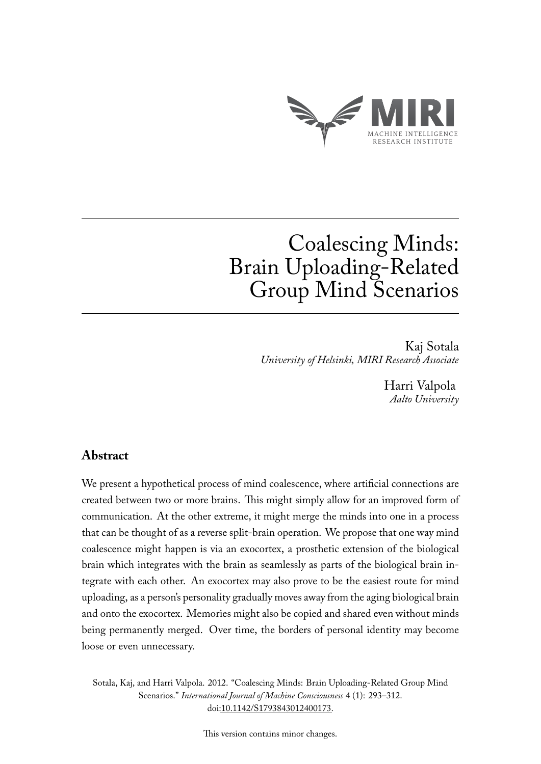

# Coalescing Minds: Brain Uploading-Related Group Mind Scenarios

Kaj Sotala *University of Helsinki, MIRI Research Associate*

> Harri Valpola *Aalto University*

# **Abstract**

We present a hypothetical process of mind coalescence, where artificial connections are created between two or more brains. This might simply allow for an improved form of communication. At the other extreme, it might merge the minds into one in a process that can be thought of as a reverse split-brain operation. We propose that one way mind coalescence might happen is via an exocortex, a prosthetic extension of the biological brain which integrates with the brain as seamlessly as parts of the biological brain integrate with each other. An exocortex may also prove to be the easiest route for mind uploading, as a person's personality gradually moves away from the aging biological brain and onto the exocortex. Memories might also be copied and shared even without minds being permanently merged. Over time, the borders of personal identity may become loose or even unnecessary.

Sotala, Kaj, and Harri Valpola. 2012. "Coalescing Minds: Brain Uploading-Related Group Mind Scenarios." *International Journal of Machine Consciousness* 4 (1): 293–312. doi[:10.1142/S1793843012400173.](http://dx.doi.org/10.1142/S1793843012400173)

This version contains minor changes.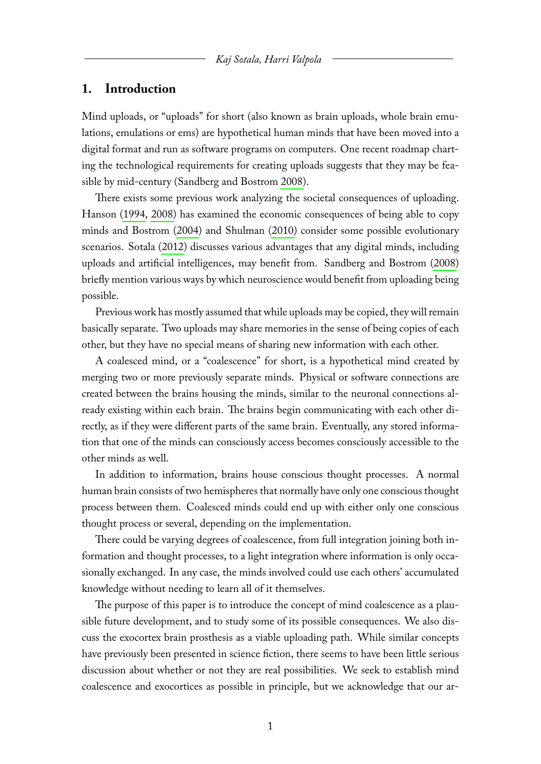## **1. Introduction**

Mind uploads, or "uploads" for short (also known as brain uploads, whole brain emulations, emulations or ems) are hypothetical human minds that have been moved into a digital format and run as software programs on computers. One recent roadmap charting the technological requirements for creating uploads suggests that they may be feasible by mid-century (Sandberg and Bostrom [2008\)](#page-21-0).

There exists some previous work analyzing the societal consequences of uploading. Hanson [\(1994,](#page-20-0) [2008\)](#page-20-1) has examined the economic consequences of being able to copy minds and Bostrom [\(2004\)](#page-19-0) and Shulman [\(2010\)](#page-21-1) consider some possible evolutionary scenarios. Sotala [\(2012\)](#page-21-2) discusses various advantages that any digital minds, including uploads and artificial intelligences, may benefit from. Sandberg and Bostrom [\(2008\)](#page-21-0) briefly mention various ways by which neuroscience would benefit from uploading being possible.

Previous work has mostly assumed that while uploads may be copied, they will remain basically separate. Two uploads may share memories in the sense of being copies of each other, but they have no special means of sharing new information with each other.

A coalesced mind, or a "coalescence" for short, is a hypothetical mind created by merging two or more previously separate minds. Physical or software connections are created between the brains housing the minds, similar to the neuronal connections already existing within each brain. The brains begin communicating with each other directly, as if they were different parts of the same brain. Eventually, any stored information that one of the minds can consciously access becomes consciously accessible to the other minds as well.

In addition to information, brains house conscious thought processes. A normal human brain consists of two hemispheres that normally have only one conscious thought process between them. Coalesced minds could end up with either only one conscious thought process or several, depending on the implementation.

There could be varying degrees of coalescence, from full integration joining both information and thought processes, to a light integration where information is only occasionally exchanged. In any case, the minds involved could use each others' accumulated knowledge without needing to learn all of it themselves.

The purpose of this paper is to introduce the concept of mind coalescence as a plausible future development, and to study some of its possible consequences. We also discuss the exocortex brain prosthesis as a viable uploading path. While similar concepts have previously been presented in science fiction, there seems to have been little serious discussion about whether or not they are real possibilities. We seek to establish mind coalescence and exocortices as possible in principle, but we acknowledge that our ar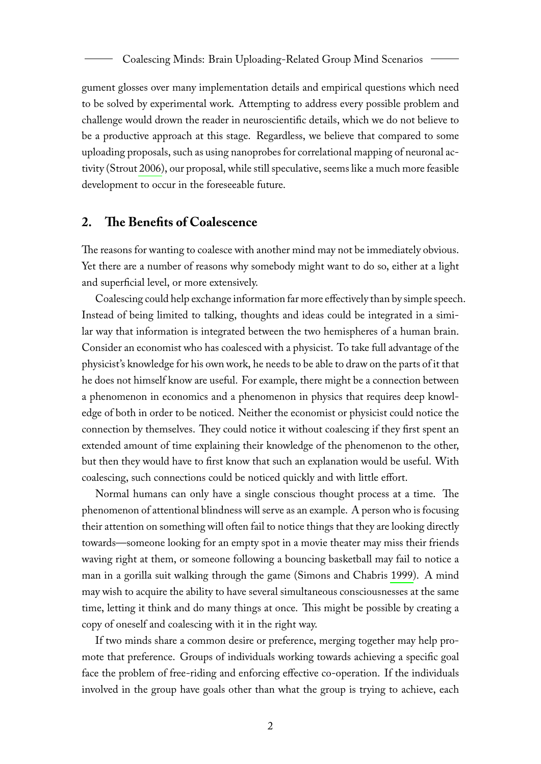gument glosses over many implementation details and empirical questions which need to be solved by experimental work. Attempting to address every possible problem and challenge would drown the reader in neuroscientific details, which we do not believe to be a productive approach at this stage. Regardless, we believe that compared to some uploading proposals, such as using nanoprobes for correlational mapping of neuronal activity (Strout [2006\)](#page-21-3), our proposal, while still speculative, seems like a much more feasible development to occur in the foreseeable future.

# **2. The Benefits of Coalescence**

The reasons for wanting to coalesce with another mind may not be immediately obvious. Yet there are a number of reasons why somebody might want to do so, either at a light and superficial level, or more extensively.

Coalescing could help exchange information far more effectively than by simple speech. Instead of being limited to talking, thoughts and ideas could be integrated in a similar way that information is integrated between the two hemispheres of a human brain. Consider an economist who has coalesced with a physicist. To take full advantage of the physicist's knowledge for his own work, he needs to be able to draw on the parts of it that he does not himself know are useful. For example, there might be a connection between a phenomenon in economics and a phenomenon in physics that requires deep knowledge of both in order to be noticed. Neither the economist or physicist could notice the connection by themselves. They could notice it without coalescing if they first spent an extended amount of time explaining their knowledge of the phenomenon to the other, but then they would have to first know that such an explanation would be useful. With coalescing, such connections could be noticed quickly and with little effort.

Normal humans can only have a single conscious thought process at a time. The phenomenon of attentional blindness will serve as an example. A person who is focusing their attention on something will often fail to notice things that they are looking directly towards—someone looking for an empty spot in a movie theater may miss their friends waving right at them, or someone following a bouncing basketball may fail to notice a man in a gorilla suit walking through the game (Simons and Chabris [1999\)](#page-21-4). A mind may wish to acquire the ability to have several simultaneous consciousnesses at the same time, letting it think and do many things at once. This might be possible by creating a copy of oneself and coalescing with it in the right way.

If two minds share a common desire or preference, merging together may help promote that preference. Groups of individuals working towards achieving a specific goal face the problem of free-riding and enforcing effective co-operation. If the individuals involved in the group have goals other than what the group is trying to achieve, each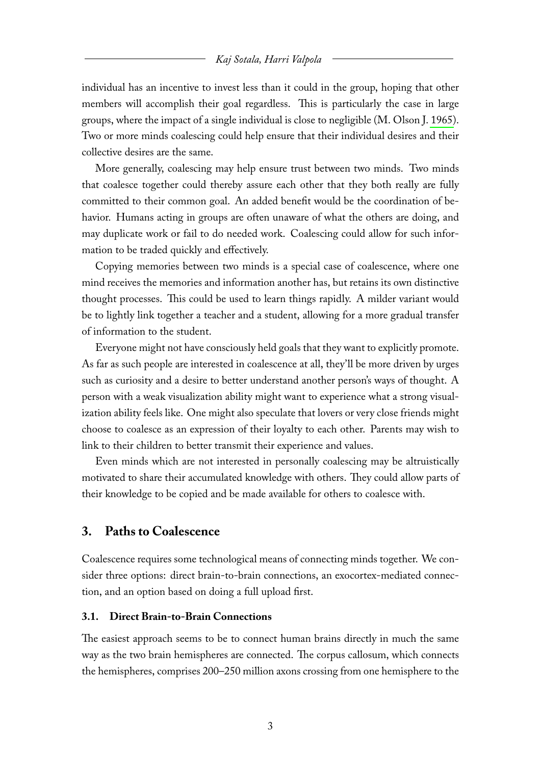individual has an incentive to invest less than it could in the group, hoping that other members will accomplish their goal regardless. This is particularly the case in large groups, where the impact of a single individual is close to negligible (M. OlsonJ. [1965\)](#page-21-5). Two or more minds coalescing could help ensure that their individual desires and their collective desires are the same.

More generally, coalescing may help ensure trust between two minds. Two minds that coalesce together could thereby assure each other that they both really are fully committed to their common goal. An added benefit would be the coordination of behavior. Humans acting in groups are often unaware of what the others are doing, and may duplicate work or fail to do needed work. Coalescing could allow for such information to be traded quickly and effectively.

Copying memories between two minds is a special case of coalescence, where one mind receives the memories and information another has, but retains its own distinctive thought processes. This could be used to learn things rapidly. A milder variant would be to lightly link together a teacher and a student, allowing for a more gradual transfer of information to the student.

Everyone might not have consciously held goals that they want to explicitly promote. As far as such people are interested in coalescence at all, they'll be more driven by urges such as curiosity and a desire to better understand another person's ways of thought. A person with a weak visualization ability might want to experience what a strong visualization ability feels like. One might also speculate that lovers or very close friends might choose to coalesce as an expression of their loyalty to each other. Parents may wish to link to their children to better transmit their experience and values.

Even minds which are not interested in personally coalescing may be altruistically motivated to share their accumulated knowledge with others. They could allow parts of their knowledge to be copied and be made available for others to coalesce with.

# **3. Paths to Coalescence**

Coalescence requires some technological means of connecting minds together. We consider three options: direct brain-to-brain connections, an exocortex-mediated connection, and an option based on doing a full upload first.

## **3.1. Direct Brain-to-Brain Connections**

The easiest approach seems to be to connect human brains directly in much the same way as the two brain hemispheres are connected. The corpus callosum, which connects the hemispheres, comprises 200–250 million axons crossing from one hemisphere to the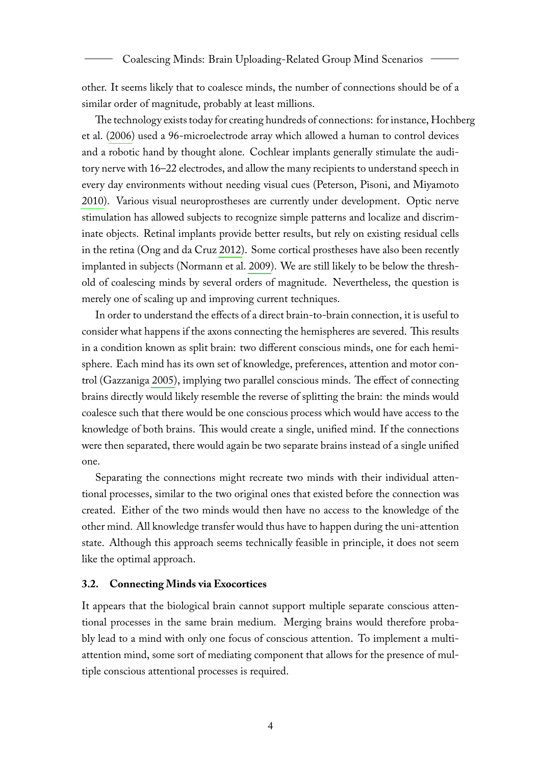other. It seems likely that to coalesce minds, the number of connections should be of a similar order of magnitude, probably at least millions.

The technology exists today for creating hundreds of connections: for instance, Hochberg et al. [\(2006\)](#page-20-2) used a 96-microelectrode array which allowed a human to control devices and a robotic hand by thought alone. Cochlear implants generally stimulate the auditory nerve with 16–22 electrodes, and allow the many recipients to understand speech in every day environments without needing visual cues (Peterson, Pisoni, and Miyamoto [2010\)](#page-21-6). Various visual neuroprostheses are currently under development. Optic nerve stimulation has allowed subjects to recognize simple patterns and localize and discriminate objects. Retinal implants provide better results, but rely on existing residual cells in the retina (Ong and da Cruz [2012\)](#page-21-7). Some cortical prostheses have also been recently implanted in subjects (Normann et al. [2009\)](#page-20-3). We are still likely to be below the threshold of coalescing minds by several orders of magnitude. Nevertheless, the question is merely one of scaling up and improving current techniques.

In order to understand the effects of a direct brain-to-brain connection, it is useful to consider what happens if the axons connecting the hemispheres are severed. This results in a condition known as split brain: two different conscious minds, one for each hemisphere. Each mind has its own set of knowledge, preferences, attention and motor control (Gazzaniga [2005\)](#page-20-4), implying two parallel conscious minds. The effect of connecting brains directly would likely resemble the reverse of splitting the brain: the minds would coalesce such that there would be one conscious process which would have access to the knowledge of both brains. This would create a single, unified mind. If the connections were then separated, there would again be two separate brains instead of a single unified one.

Separating the connections might recreate two minds with their individual attentional processes, similar to the two original ones that existed before the connection was created. Either of the two minds would then have no access to the knowledge of the other mind. All knowledge transfer would thus have to happen during the uni-attention state. Although this approach seems technically feasible in principle, it does not seem like the optimal approach.

## **3.2. Connecting Minds via Exocortices**

It appears that the biological brain cannot support multiple separate conscious attentional processes in the same brain medium. Merging brains would therefore probably lead to a mind with only one focus of conscious attention. To implement a multiattention mind, some sort of mediating component that allows for the presence of multiple conscious attentional processes is required.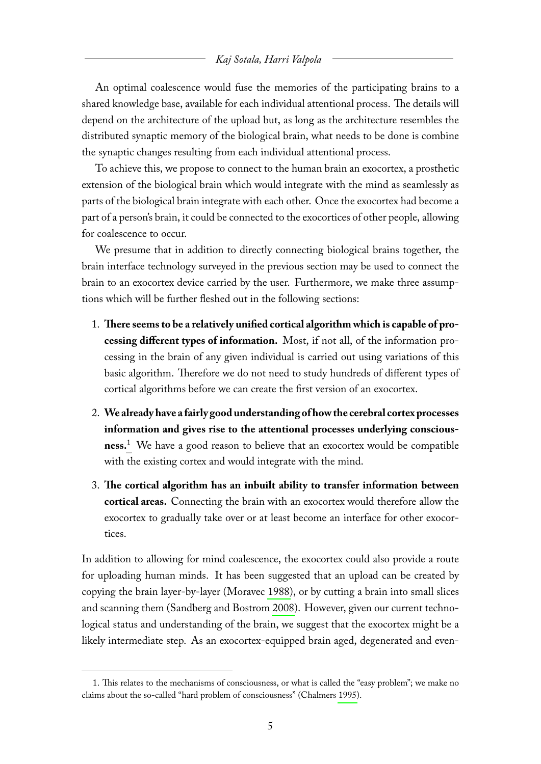An optimal coalescence would fuse the memories of the participating brains to a shared knowledge base, available for each individual attentional process. The details will depend on the architecture of the upload but, as long as the architecture resembles the distributed synaptic memory of the biological brain, what needs to be done is combine the synaptic changes resulting from each individual attentional process.

To achieve this, we propose to connect to the human brain an exocortex, a prosthetic extension of the biological brain which would integrate with the mind as seamlessly as parts of the biological brain integrate with each other. Once the exocortex had become a part of a person's brain, it could be connected to the exocortices of other people, allowing for coalescence to occur.

We presume that in addition to directly connecting biological brains together, the brain interface technology surveyed in the previous section may be used to connect the brain to an exocortex device carried by the user. Furthermore, we make three assumptions which will be further fleshed out in the following sections:

- 1. **There seems to be a relatively unified cortical algorithm which is capable of processing different types of information.** Most, if not all, of the information processing in the brain of any given individual is carried out using variations of this basic algorithm. Therefore we do not need to study hundreds of different types of cortical algorithms before we can create the first version of an exocortex.
- 2. **We already have a fairly good understanding of how the cerebral cortex processes information and gives rise to the attentional processes underlying consciousness.**[1](#page-5-0) We have a good reason to believe that an exocortex would be compatible with the existing cortex and would integrate with the mind.
- 3. **The cortical algorithm has an inbuilt ability to transfer information between cortical areas.** Connecting the brain with an exocortex would therefore allow the exocortex to gradually take over or at least become an interface for other exocortices.

In addition to allowing for mind coalescence, the exocortex could also provide a route for uploading human minds. It has been suggested that an upload can be created by copying the brain layer-by-layer (Moravec [1988\)](#page-20-5), or by cutting a brain into small slices and scanning them (Sandberg and Bostrom [2008\)](#page-21-0). However, given our current technological status and understanding of the brain, we suggest that the exocortex might be a likely intermediate step. As an exocortex-equipped brain aged, degenerated and even-

<span id="page-5-0"></span><sup>1.</sup> This relates to the mechanisms of consciousness, or what is called the "easy problem"; we make no claims about the so-called "hard problem of consciousness" (Chalmers [1995\)](#page-19-1).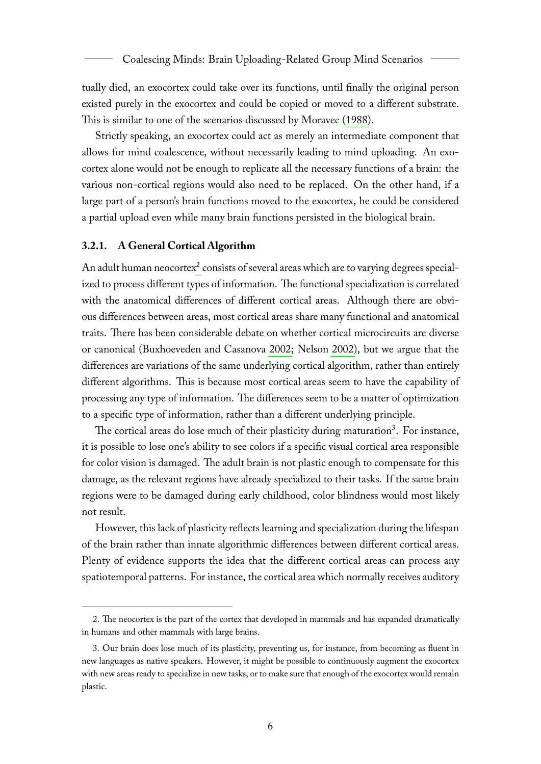tually died, an exocortex could take over its functions, until finally the original person existed purely in the exocortex and could be copied or moved to a different substrate. This is similar to one of the scenarios discussed by Moravec [\(1988\)](#page-20-5).

Strictly speaking, an exocortex could act as merely an intermediate component that allows for mind coalescence, without necessarily leading to mind uploading. An exocortex alone would not be enough to replicate all the necessary functions of a brain: the various non-cortical regions would also need to be replaced. On the other hand, if a large part of a person's brain functions moved to the exocortex, he could be considered a partial upload even while many brain functions persisted in the biological brain.

#### **3.2.1. A General Cortical Algorithm**

An adult human neocortex $^2$  $^2$  consists of several areas which are to varying degrees specialized to process different types of information. The functional specialization is correlated with the anatomical differences of different cortical areas. Although there are obvious differences between areas, most cortical areas share many functional and anatomical traits. There has been considerable debate on whether cortical microcircuits are diverse or canonical (Buxhoeveden and Casanova [2002;](#page-19-2) Nelson [2002\)](#page-20-6), but we argue that the differences are variations of the same underlying cortical algorithm, rather than entirely different algorithms. This is because most cortical areas seem to have the capability of processing any type of information. The differences seem to be a matter of optimization to a specific type of information, rather than a different underlying principle.

The cortical areas do lose much of their plasticity during maturation<sup>[3](#page-6-1)</sup>. For instance, it is possible to lose one's ability to see colors if a specific visual cortical area responsible for color vision is damaged. The adult brain is not plastic enough to compensate for this damage, as the relevant regions have already specialized to their tasks. If the same brain regions were to be damaged during early childhood, color blindness would most likely not result.

However, this lack of plasticity reflects learning and specialization during the lifespan of the brain rather than innate algorithmic differences between different cortical areas. Plenty of evidence supports the idea that the different cortical areas can process any spatiotemporal patterns. For instance, the cortical area which normally receives auditory

<span id="page-6-0"></span><sup>2.</sup> The neocortex is the part of the cortex that developed in mammals and has expanded dramatically in humans and other mammals with large brains.

<span id="page-6-1"></span><sup>3.</sup> Our brain does lose much of its plasticity, preventing us, for instance, from becoming as fluent in new languages as native speakers. However, it might be possible to continuously augment the exocortex with new areas ready to specialize in new tasks, or to make sure that enough of the exocortex would remain plastic.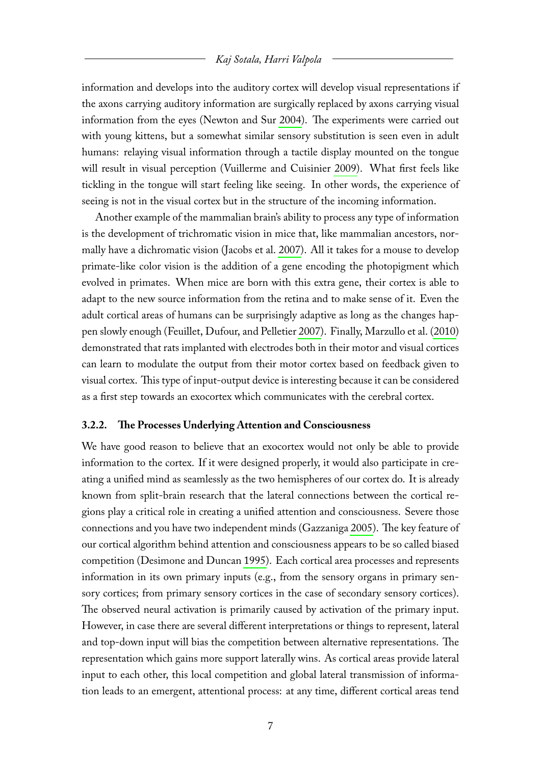information and develops into the auditory cortex will develop visual representations if the axons carrying auditory information are surgically replaced by axons carrying visual information from the eyes (Newton and Sur [2004\)](#page-20-7). The experiments were carried out with young kittens, but a somewhat similar sensory substitution is seen even in adult humans: relaying visual information through a tactile display mounted on the tongue will result in visual perception (Vuillerme and Cuisinier [2009\)](#page-21-8). What first feels like tickling in the tongue will start feeling like seeing. In other words, the experience of seeing is not in the visual cortex but in the structure of the incoming information.

Another example of the mammalian brain's ability to process any type of information is the development of trichromatic vision in mice that, like mammalian ancestors, normally have a dichromatic vision (Jacobs et al. [2007\)](#page-20-8). All it takes for a mouse to develop primate-like color vision is the addition of a gene encoding the photopigment which evolved in primates. When mice are born with this extra gene, their cortex is able to adapt to the new source information from the retina and to make sense of it. Even the adult cortical areas of humans can be surprisingly adaptive as long as the changes happen slowly enough (Feuillet, Dufour, and Pelletier [2007\)](#page-19-3). Finally, Marzullo et al. [\(2010\)](#page-20-9) demonstrated that rats implanted with electrodes both in their motor and visual cortices can learn to modulate the output from their motor cortex based on feedback given to visual cortex. This type of input-output device is interesting because it can be considered as a first step towards an exocortex which communicates with the cerebral cortex.

## **3.2.2. The Processes Underlying Attention and Consciousness**

We have good reason to believe that an exocortex would not only be able to provide information to the cortex. If it were designed properly, it would also participate in creating a unified mind as seamlessly as the two hemispheres of our cortex do. It is already known from split-brain research that the lateral connections between the cortical regions play a critical role in creating a unified attention and consciousness. Severe those connections and you have two independent minds (Gazzaniga [2005\)](#page-20-4). The key feature of our cortical algorithm behind attention and consciousness appears to be so called biased competition (Desimone and Duncan [1995\)](#page-19-4). Each cortical area processes and represents information in its own primary inputs (e.g., from the sensory organs in primary sensory cortices; from primary sensory cortices in the case of secondary sensory cortices). The observed neural activation is primarily caused by activation of the primary input. However, in case there are several different interpretations or things to represent, lateral and top-down input will bias the competition between alternative representations. The representation which gains more support laterally wins. As cortical areas provide lateral input to each other, this local competition and global lateral transmission of information leads to an emergent, attentional process: at any time, different cortical areas tend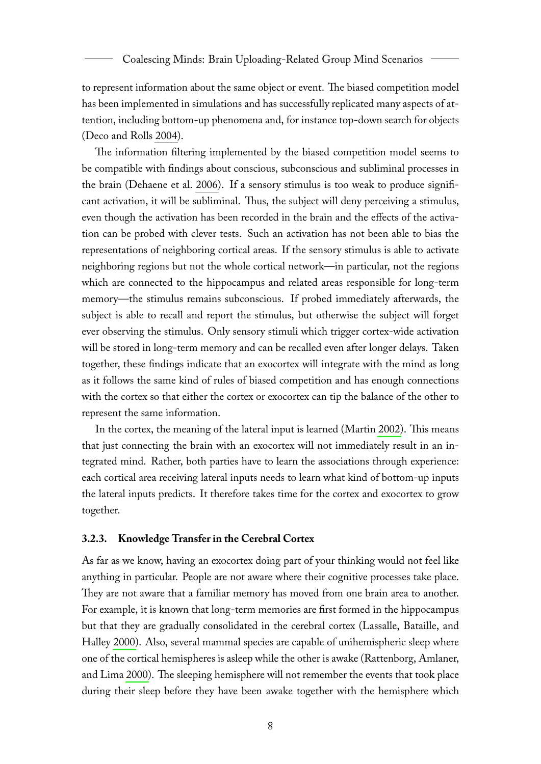to represent information about the same object or event. The biased competition model has been implemented in simulations and has successfully replicated many aspects of attention, including bottom-up phenomena and, for instance top-down search for objects (Deco and Rolls [2004\)](#page-19-5).

The information filtering implemented by the biased competition model seems to be compatible with findings about conscious, subconscious and subliminal processes in the brain (Dehaene et al. [2006\)](#page-19-6). If a sensory stimulus is too weak to produce significant activation, it will be subliminal. Thus, the subject will deny perceiving a stimulus, even though the activation has been recorded in the brain and the effects of the activation can be probed with clever tests. Such an activation has not been able to bias the representations of neighboring cortical areas. If the sensory stimulus is able to activate neighboring regions but not the whole cortical network—in particular, not the regions which are connected to the hippocampus and related areas responsible for long-term memory—the stimulus remains subconscious. If probed immediately afterwards, the subject is able to recall and report the stimulus, but otherwise the subject will forget ever observing the stimulus. Only sensory stimuli which trigger cortex-wide activation will be stored in long-term memory and can be recalled even after longer delays. Taken together, these findings indicate that an exocortex will integrate with the mind as long as it follows the same kind of rules of biased competition and has enough connections with the cortex so that either the cortex or exocortex can tip the balance of the other to represent the same information.

In the cortex, the meaning of the lateral input is learned (Martin [2002\)](#page-20-10). This means that just connecting the brain with an exocortex will not immediately result in an integrated mind. Rather, both parties have to learn the associations through experience: each cortical area receiving lateral inputs needs to learn what kind of bottom-up inputs the lateral inputs predicts. It therefore takes time for the cortex and exocortex to grow together.

## **3.2.3. Knowledge Transfer in the Cerebral Cortex**

As far as we know, having an exocortex doing part of your thinking would not feel like anything in particular. People are not aware where their cognitive processes take place. They are not aware that a familiar memory has moved from one brain area to another. For example, it is known that long-term memories are first formed in the hippocampus but that they are gradually consolidated in the cerebral cortex (Lassalle, Bataille, and Halley [2000\)](#page-20-11). Also, several mammal species are capable of unihemispheric sleep where one of the cortical hemispheres is asleep while the other is awake (Rattenborg, Amlaner, and Lima [2000\)](#page-21-9). The sleeping hemisphere will not remember the events that took place during their sleep before they have been awake together with the hemisphere which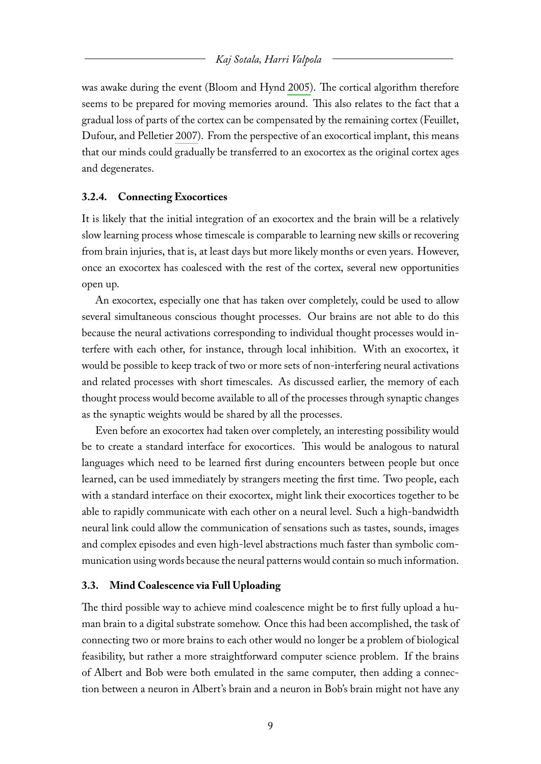was awake during the event (Bloom and Hynd [2005\)](#page-19-7). The cortical algorithm therefore seems to be prepared for moving memories around. This also relates to the fact that a gradual loss of parts of the cortex can be compensated by the remaining cortex (Feuillet, Dufour, and Pelletier [2007\)](#page-19-3). From the perspective of an exocortical implant, this means that our minds could gradually be transferred to an exocortex as the original cortex ages and degenerates.

## **3.2.4. Connecting Exocortices**

It is likely that the initial integration of an exocortex and the brain will be a relatively slow learning process whose timescale is comparable to learning new skills or recovering from brain injuries, that is, at least days but more likely months or even years. However, once an exocortex has coalesced with the rest of the cortex, several new opportunities open up.

An exocortex, especially one that has taken over completely, could be used to allow several simultaneous conscious thought processes. Our brains are not able to do this because the neural activations corresponding to individual thought processes would interfere with each other, for instance, through local inhibition. With an exocortex, it would be possible to keep track of two or more sets of non-interfering neural activations and related processes with short timescales. As discussed earlier, the memory of each thought process would become available to all of the processes through synaptic changes as the synaptic weights would be shared by all the processes.

Even before an exocortex had taken over completely, an interesting possibility would be to create a standard interface for exocortices. This would be analogous to natural languages which need to be learned first during encounters between people but once learned, can be used immediately by strangers meeting the first time. Two people, each with a standard interface on their exocortex, might link their exocortices together to be able to rapidly communicate with each other on a neural level. Such a high-bandwidth neural link could allow the communication of sensations such as tastes, sounds, images and complex episodes and even high-level abstractions much faster than symbolic communication using words because the neural patterns would contain so much information.

## **3.3. Mind Coalescence via Full Uploading**

The third possible way to achieve mind coalescence might be to first fully upload a human brain to a digital substrate somehow. Once this had been accomplished, the task of connecting two or more brains to each other would no longer be a problem of biological feasibility, but rather a more straightforward computer science problem. If the brains of Albert and Bob were both emulated in the same computer, then adding a connection between a neuron in Albert's brain and a neuron in Bob's brain might not have any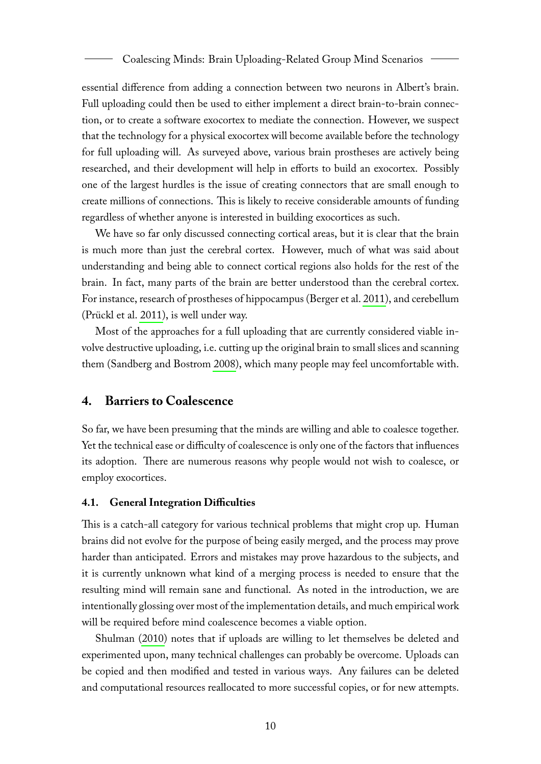essential difference from adding a connection between two neurons in Albert's brain. Full uploading could then be used to either implement a direct brain-to-brain connection, or to create a software exocortex to mediate the connection. However, we suspect that the technology for a physical exocortex will become available before the technology for full uploading will. As surveyed above, various brain prostheses are actively being researched, and their development will help in efforts to build an exocortex. Possibly one of the largest hurdles is the issue of creating connectors that are small enough to create millions of connections. This is likely to receive considerable amounts of funding regardless of whether anyone is interested in building exocortices as such.

We have so far only discussed connecting cortical areas, but it is clear that the brain is much more than just the cerebral cortex. However, much of what was said about understanding and being able to connect cortical regions also holds for the rest of the brain. In fact, many parts of the brain are better understood than the cerebral cortex. For instance, research of prostheses of hippocampus (Berger et al. [2011\)](#page-19-8), and cerebellum (Prückl et al. [2011\)](#page-21-10), is well under way.

Most of the approaches for a full uploading that are currently considered viable involve destructive uploading, i.e. cutting up the original brain to small slices and scanning them (Sandberg and Bostrom [2008\)](#page-21-0), which many people may feel uncomfortable with.

## **4. Barriers to Coalescence**

So far, we have been presuming that the minds are willing and able to coalesce together. Yet the technical ease or difficulty of coalescence is only one of the factors that influences its adoption. There are numerous reasons why people would not wish to coalesce, or employ exocortices.

#### **4.1. General Integration Difficulties**

This is a catch-all category for various technical problems that might crop up. Human brains did not evolve for the purpose of being easily merged, and the process may prove harder than anticipated. Errors and mistakes may prove hazardous to the subjects, and it is currently unknown what kind of a merging process is needed to ensure that the resulting mind will remain sane and functional. As noted in the introduction, we are intentionally glossing over most of the implementation details, and much empirical work will be required before mind coalescence becomes a viable option.

Shulman [\(2010\)](#page-21-1) notes that if uploads are willing to let themselves be deleted and experimented upon, many technical challenges can probably be overcome. Uploads can be copied and then modified and tested in various ways. Any failures can be deleted and computational resources reallocated to more successful copies, or for new attempts.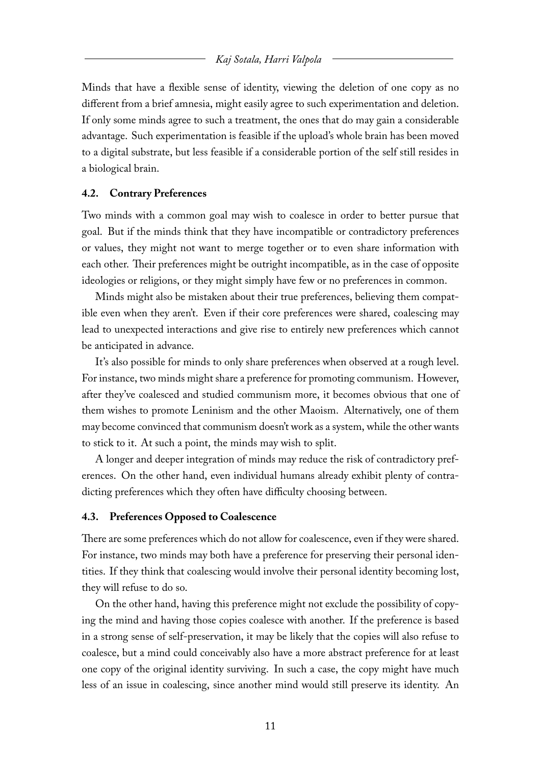Minds that have a flexible sense of identity, viewing the deletion of one copy as no different from a brief amnesia, might easily agree to such experimentation and deletion. If only some minds agree to such a treatment, the ones that do may gain a considerable advantage. Such experimentation is feasible if the upload's whole brain has been moved to a digital substrate, but less feasible if a considerable portion of the self still resides in a biological brain.

## **4.2. Contrary Preferences**

Two minds with a common goal may wish to coalesce in order to better pursue that goal. But if the minds think that they have incompatible or contradictory preferences or values, they might not want to merge together or to even share information with each other. Their preferences might be outright incompatible, as in the case of opposite ideologies or religions, or they might simply have few or no preferences in common.

Minds might also be mistaken about their true preferences, believing them compatible even when they aren't. Even if their core preferences were shared, coalescing may lead to unexpected interactions and give rise to entirely new preferences which cannot be anticipated in advance.

It's also possible for minds to only share preferences when observed at a rough level. For instance, two minds might share a preference for promoting communism. However, after they've coalesced and studied communism more, it becomes obvious that one of them wishes to promote Leninism and the other Maoism. Alternatively, one of them may become convinced that communism doesn't work as a system, while the other wants to stick to it. At such a point, the minds may wish to split.

A longer and deeper integration of minds may reduce the risk of contradictory preferences. On the other hand, even individual humans already exhibit plenty of contradicting preferences which they often have difficulty choosing between.

#### **4.3. Preferences Opposed to Coalescence**

There are some preferences which do not allow for coalescence, even if they were shared. For instance, two minds may both have a preference for preserving their personal identities. If they think that coalescing would involve their personal identity becoming lost, they will refuse to do so.

On the other hand, having this preference might not exclude the possibility of copying the mind and having those copies coalesce with another. If the preference is based in a strong sense of self-preservation, it may be likely that the copies will also refuse to coalesce, but a mind could conceivably also have a more abstract preference for at least one copy of the original identity surviving. In such a case, the copy might have much less of an issue in coalescing, since another mind would still preserve its identity. An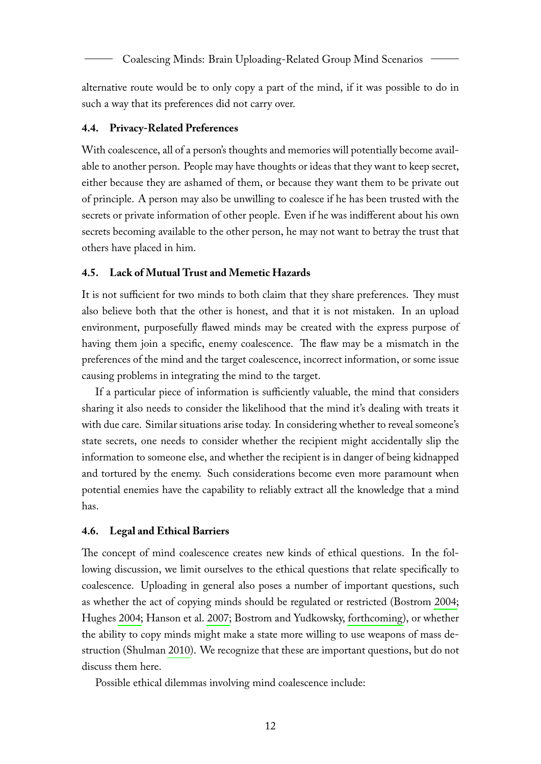alternative route would be to only copy a part of the mind, if it was possible to do in such a way that its preferences did not carry over.

## **4.4. Privacy-Related Preferences**

With coalescence, all of a person's thoughts and memories will potentially become available to another person. People may have thoughts or ideas that they want to keep secret, either because they are ashamed of them, or because they want them to be private out of principle. A person may also be unwilling to coalesce if he has been trusted with the secrets or private information of other people. Even if he was indifferent about his own secrets becoming available to the other person, he may not want to betray the trust that others have placed in him.

## **4.5. Lack of Mutual Trust and Memetic Hazards**

It is not sufficient for two minds to both claim that they share preferences. They must also believe both that the other is honest, and that it is not mistaken. In an upload environment, purposefully flawed minds may be created with the express purpose of having them join a specific, enemy coalescence. The flaw may be a mismatch in the preferences of the mind and the target coalescence, incorrect information, or some issue causing problems in integrating the mind to the target.

If a particular piece of information is sufficiently valuable, the mind that considers sharing it also needs to consider the likelihood that the mind it's dealing with treats it with due care. Similar situations arise today. In considering whether to reveal someone's state secrets, one needs to consider whether the recipient might accidentally slip the information to someone else, and whether the recipient is in danger of being kidnapped and tortured by the enemy. Such considerations become even more paramount when potential enemies have the capability to reliably extract all the knowledge that a mind has.

## **4.6. Legal and Ethical Barriers**

The concept of mind coalescence creates new kinds of ethical questions. In the following discussion, we limit ourselves to the ethical questions that relate specifically to coalescence. Uploading in general also poses a number of important questions, such as whether the act of copying minds should be regulated or restricted (Bostrom [2004;](#page-19-0) Hughes [2004;](#page-20-12) Hanson et al. [2007;](#page-20-13) Bostrom and Yudkowsky, [forthcoming\)](#page-19-9), or whether the ability to copy minds might make a state more willing to use weapons of mass destruction (Shulman [2010\)](#page-21-1). We recognize that these are important questions, but do not discuss them here.

Possible ethical dilemmas involving mind coalescence include: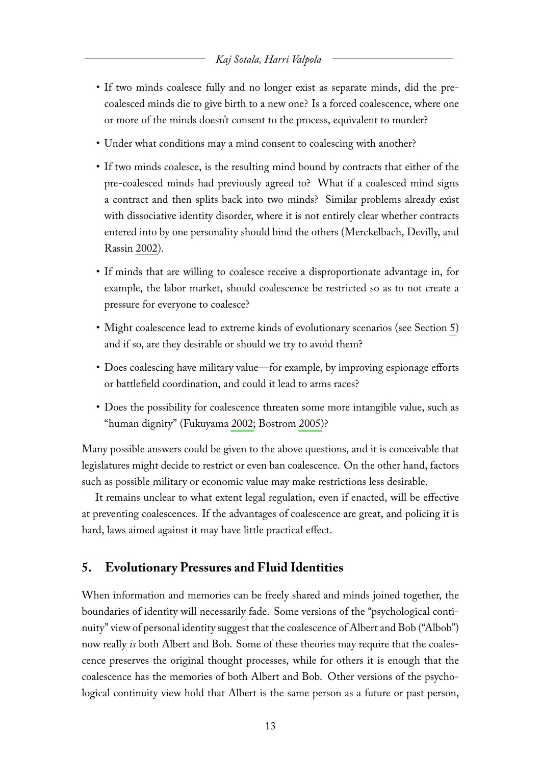- If two minds coalesce fully and no longer exist as separate minds, did the precoalesced minds die to give birth to a new one? Is a forced coalescence, where one or more of the minds doesn't consent to the process, equivalent to murder?
- Under what conditions may a mind consent to coalescing with another?
- If two minds coalesce, is the resulting mind bound by contracts that either of the pre-coalesced minds had previously agreed to? What if a coalesced mind signs a contract and then splits back into two minds? Similar problems already exist with dissociative identity disorder, where it is not entirely clear whether contracts entered into by one personality should bind the others (Merckelbach, Devilly, and Rassin [2002\)](#page-20-14).
- If minds that are willing to coalesce receive a disproportionate advantage in, for example, the labor market, should coalescence be restricted so as to not create a pressure for everyone to coalesce?
- Might coalescence lead to extreme kinds of evolutionary scenarios (see Section [5\)](#page-13-0) and if so, are they desirable or should we try to avoid them?
- Does coalescing have military value—for example, by improving espionage efforts or battlefield coordination, and could it lead to arms races?
- Does the possibility for coalescence threaten some more intangible value, such as "human dignity" (Fukuyama [2002;](#page-19-10) Bostrom [2005\)](#page-19-11)?

Many possible answers could be given to the above questions, and it is conceivable that legislatures might decide to restrict or even ban coalescence. On the other hand, factors such as possible military or economic value may make restrictions less desirable.

It remains unclear to what extent legal regulation, even if enacted, will be effective at preventing coalescences. If the advantages of coalescence are great, and policing it is hard, laws aimed against it may have little practical effect.

# <span id="page-13-0"></span>**5. Evolutionary Pressures and Fluid Identities**

When information and memories can be freely shared and minds joined together, the boundaries of identity will necessarily fade. Some versions of the "psychological continuity" view of personal identity suggest that the coalescence of Albert and Bob ("Albob") now really *is* both Albert and Bob. Some of these theories may require that the coalescence preserves the original thought processes, while for others it is enough that the coalescence has the memories of both Albert and Bob. Other versions of the psychological continuity view hold that Albert is the same person as a future or past person,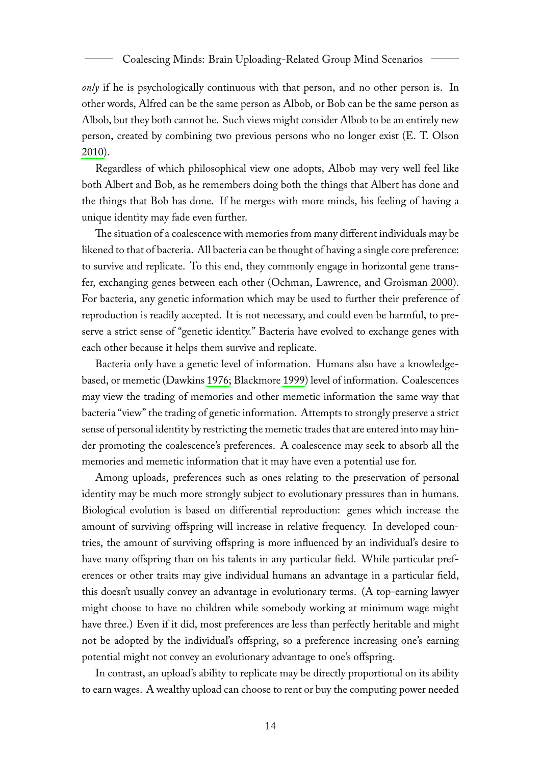*only* if he is psychologically continuous with that person, and no other person is. In other words, Alfred can be the same person as Albob, or Bob can be the same person as Albob, but they both cannot be. Such views might consider Albob to be an entirely new person, created by combining two previous persons who no longer exist (E. T. Olson [2010\)](#page-21-11).

Regardless of which philosophical view one adopts, Albob may very well feel like both Albert and Bob, as he remembers doing both the things that Albert has done and the things that Bob has done. If he merges with more minds, his feeling of having a unique identity may fade even further.

The situation of a coalescence with memories from many different individuals may be likened to that of bacteria. All bacteria can be thought of having a single core preference: to survive and replicate. To this end, they commonly engage in horizontal gene transfer, exchanging genes between each other (Ochman, Lawrence, and Groisman [2000\)](#page-20-15). For bacteria, any genetic information which may be used to further their preference of reproduction is readily accepted. It is not necessary, and could even be harmful, to preserve a strict sense of "genetic identity." Bacteria have evolved to exchange genes with each other because it helps them survive and replicate.

Bacteria only have a genetic level of information. Humans also have a knowledgebased, or memetic (Dawkins [1976;](#page-19-12) Blackmore [1999\)](#page-19-13) level of information. Coalescences may view the trading of memories and other memetic information the same way that bacteria "view" the trading of genetic information. Attempts to strongly preserve a strict sense of personal identity by restricting the memetic trades that are entered into may hinder promoting the coalescence's preferences. A coalescence may seek to absorb all the memories and memetic information that it may have even a potential use for.

Among uploads, preferences such as ones relating to the preservation of personal identity may be much more strongly subject to evolutionary pressures than in humans. Biological evolution is based on differential reproduction: genes which increase the amount of surviving offspring will increase in relative frequency. In developed countries, the amount of surviving offspring is more influenced by an individual's desire to have many offspring than on his talents in any particular field. While particular preferences or other traits may give individual humans an advantage in a particular field, this doesn't usually convey an advantage in evolutionary terms. (A top-earning lawyer might choose to have no children while somebody working at minimum wage might have three.) Even if it did, most preferences are less than perfectly heritable and might not be adopted by the individual's offspring, so a preference increasing one's earning potential might not convey an evolutionary advantage to one's offspring.

In contrast, an upload's ability to replicate may be directly proportional on its ability to earn wages. A wealthy upload can choose to rent or buy the computing power needed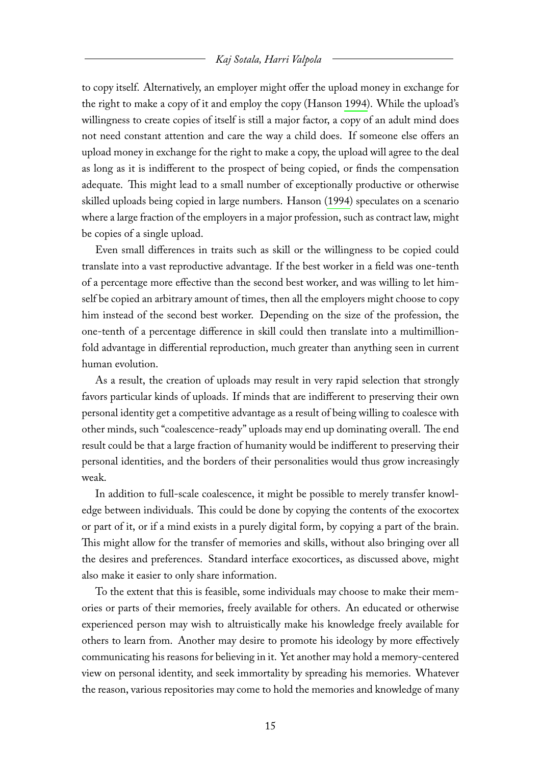to copy itself. Alternatively, an employer might offer the upload money in exchange for the right to make a copy of it and employ the copy (Hanson [1994\)](#page-20-0). While the upload's willingness to create copies of itself is still a major factor, a copy of an adult mind does not need constant attention and care the way a child does. If someone else offers an upload money in exchange for the right to make a copy, the upload will agree to the deal as long as it is indifferent to the prospect of being copied, or finds the compensation adequate. This might lead to a small number of exceptionally productive or otherwise skilled uploads being copied in large numbers. Hanson [\(1994\)](#page-20-0) speculates on a scenario where a large fraction of the employers in a major profession, such as contract law, might be copies of a single upload.

Even small differences in traits such as skill or the willingness to be copied could translate into a vast reproductive advantage. If the best worker in a field was one-tenth of a percentage more effective than the second best worker, and was willing to let himself be copied an arbitrary amount of times, then all the employers might choose to copy him instead of the second best worker. Depending on the size of the profession, the one-tenth of a percentage difference in skill could then translate into a multimillionfold advantage in differential reproduction, much greater than anything seen in current human evolution.

As a result, the creation of uploads may result in very rapid selection that strongly favors particular kinds of uploads. If minds that are indifferent to preserving their own personal identity get a competitive advantage as a result of being willing to coalesce with other minds, such "coalescence-ready" uploads may end up dominating overall. The end result could be that a large fraction of humanity would be indifferent to preserving their personal identities, and the borders of their personalities would thus grow increasingly weak.

In addition to full-scale coalescence, it might be possible to merely transfer knowledge between individuals. This could be done by copying the contents of the exocortex or part of it, or if a mind exists in a purely digital form, by copying a part of the brain. This might allow for the transfer of memories and skills, without also bringing over all the desires and preferences. Standard interface exocortices, as discussed above, might also make it easier to only share information.

To the extent that this is feasible, some individuals may choose to make their memories or parts of their memories, freely available for others. An educated or otherwise experienced person may wish to altruistically make his knowledge freely available for others to learn from. Another may desire to promote his ideology by more effectively communicating his reasons for believing in it. Yet another may hold a memory-centered view on personal identity, and seek immortality by spreading his memories. Whatever the reason, various repositories may come to hold the memories and knowledge of many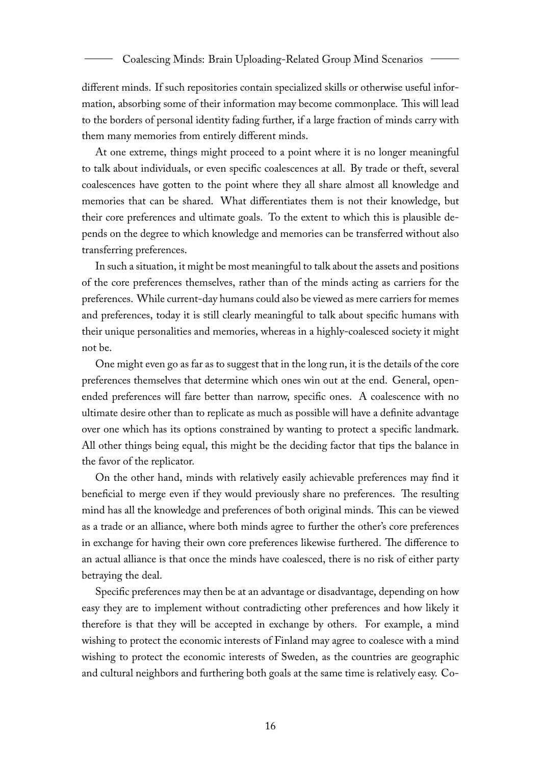different minds. If such repositories contain specialized skills or otherwise useful information, absorbing some of their information may become commonplace. This will lead to the borders of personal identity fading further, if a large fraction of minds carry with them many memories from entirely different minds.

At one extreme, things might proceed to a point where it is no longer meaningful to talk about individuals, or even specific coalescences at all. By trade or theft, several coalescences have gotten to the point where they all share almost all knowledge and memories that can be shared. What differentiates them is not their knowledge, but their core preferences and ultimate goals. To the extent to which this is plausible depends on the degree to which knowledge and memories can be transferred without also transferring preferences.

In such a situation, it might be most meaningful to talk about the assets and positions of the core preferences themselves, rather than of the minds acting as carriers for the preferences. While current-day humans could also be viewed as mere carriers for memes and preferences, today it is still clearly meaningful to talk about specific humans with their unique personalities and memories, whereas in a highly-coalesced society it might not be.

One might even go as far as to suggest that in the long run, it is the details of the core preferences themselves that determine which ones win out at the end. General, openended preferences will fare better than narrow, specific ones. A coalescence with no ultimate desire other than to replicate as much as possible will have a definite advantage over one which has its options constrained by wanting to protect a specific landmark. All other things being equal, this might be the deciding factor that tips the balance in the favor of the replicator.

On the other hand, minds with relatively easily achievable preferences may find it beneficial to merge even if they would previously share no preferences. The resulting mind has all the knowledge and preferences of both original minds. This can be viewed as a trade or an alliance, where both minds agree to further the other's core preferences in exchange for having their own core preferences likewise furthered. The difference to an actual alliance is that once the minds have coalesced, there is no risk of either party betraying the deal.

Specific preferences may then be at an advantage or disadvantage, depending on how easy they are to implement without contradicting other preferences and how likely it therefore is that they will be accepted in exchange by others. For example, a mind wishing to protect the economic interests of Finland may agree to coalesce with a mind wishing to protect the economic interests of Sweden, as the countries are geographic and cultural neighbors and furthering both goals at the same time is relatively easy. Co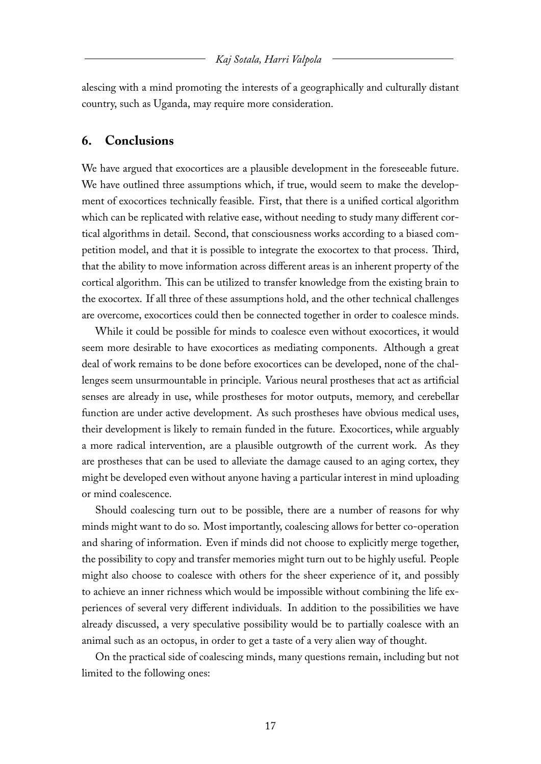alescing with a mind promoting the interests of a geographically and culturally distant country, such as Uganda, may require more consideration.

## **6. Conclusions**

We have argued that exocortices are a plausible development in the foreseeable future. We have outlined three assumptions which, if true, would seem to make the development of exocortices technically feasible. First, that there is a unified cortical algorithm which can be replicated with relative ease, without needing to study many different cortical algorithms in detail. Second, that consciousness works according to a biased competition model, and that it is possible to integrate the exocortex to that process. Third, that the ability to move information across different areas is an inherent property of the cortical algorithm. This can be utilized to transfer knowledge from the existing brain to the exocortex. If all three of these assumptions hold, and the other technical challenges are overcome, exocortices could then be connected together in order to coalesce minds.

While it could be possible for minds to coalesce even without exocortices, it would seem more desirable to have exocortices as mediating components. Although a great deal of work remains to be done before exocortices can be developed, none of the challenges seem unsurmountable in principle. Various neural prostheses that act as artificial senses are already in use, while prostheses for motor outputs, memory, and cerebellar function are under active development. As such prostheses have obvious medical uses, their development is likely to remain funded in the future. Exocortices, while arguably a more radical intervention, are a plausible outgrowth of the current work. As they are prostheses that can be used to alleviate the damage caused to an aging cortex, they might be developed even without anyone having a particular interest in mind uploading or mind coalescence.

Should coalescing turn out to be possible, there are a number of reasons for why minds might want to do so. Most importantly, coalescing allows for better co-operation and sharing of information. Even if minds did not choose to explicitly merge together, the possibility to copy and transfer memories might turn out to be highly useful. People might also choose to coalesce with others for the sheer experience of it, and possibly to achieve an inner richness which would be impossible without combining the life experiences of several very different individuals. In addition to the possibilities we have already discussed, a very speculative possibility would be to partially coalesce with an animal such as an octopus, in order to get a taste of a very alien way of thought.

On the practical side of coalescing minds, many questions remain, including but not limited to the following ones: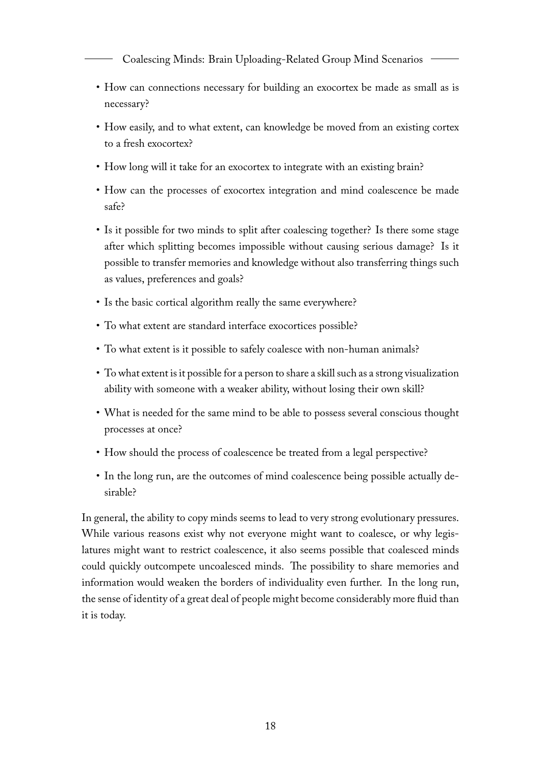Coalescing Minds: Brain Uploading-Related Group Mind Scenarios

- How can connections necessary for building an exocortex be made as small as is necessary?
- How easily, and to what extent, can knowledge be moved from an existing cortex to a fresh exocortex?
- How long will it take for an exocortex to integrate with an existing brain?
- How can the processes of exocortex integration and mind coalescence be made safe?
- Is it possible for two minds to split after coalescing together? Is there some stage after which splitting becomes impossible without causing serious damage? Is it possible to transfer memories and knowledge without also transferring things such as values, preferences and goals?
- Is the basic cortical algorithm really the same everywhere?
- To what extent are standard interface exocortices possible?
- To what extent is it possible to safely coalesce with non-human animals?
- To what extent is it possible for a person to share a skill such as a strong visualization ability with someone with a weaker ability, without losing their own skill?
- What is needed for the same mind to be able to possess several conscious thought processes at once?
- How should the process of coalescence be treated from a legal perspective?
- In the long run, are the outcomes of mind coalescence being possible actually desirable?

In general, the ability to copy minds seems to lead to very strong evolutionary pressures. While various reasons exist why not everyone might want to coalesce, or why legislatures might want to restrict coalescence, it also seems possible that coalesced minds could quickly outcompete uncoalesced minds. The possibility to share memories and information would weaken the borders of individuality even further. In the long run, the sense of identity of a great deal of people might become considerably more fluid than it is today.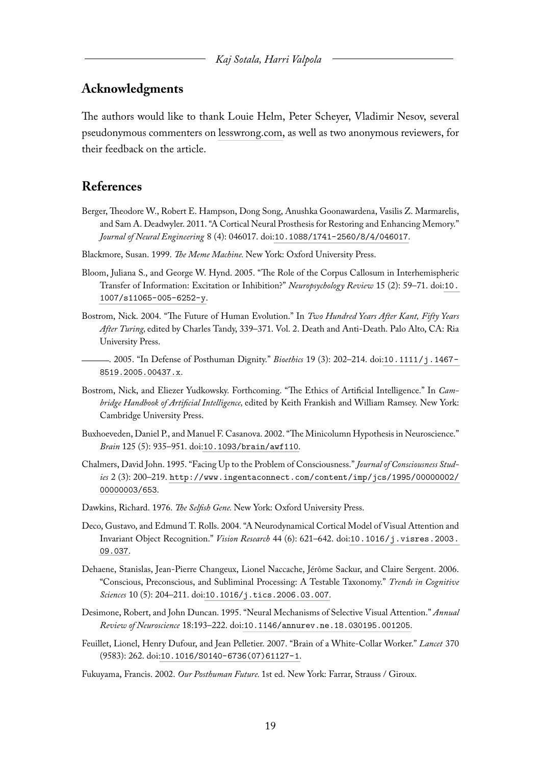## **Acknowledgments**

The authors would like to thank Louie Helm, Peter Scheyer, Vladimir Nesov, several pseudonymous commenters on [lesswrong.com,](http://lesswrong.com/) as well as two anonymous reviewers, for their feedback on the article.

# **References**

- <span id="page-19-8"></span>Berger, Theodore W., Robert E. Hampson, Dong Song, Anushka Goonawardena, Vasilis Z. Marmarelis, and Sam A. Deadwyler. 2011. "A Cortical Neural Prosthesis for Restoring and Enhancing Memory." *Journal of Neural Engineering* 8 (4): 046017. doi:[10.1088/1741-2560/8/4/046017](http://dx.doi.org/10.1088/1741-2560/8/4/046017).
- <span id="page-19-13"></span>Blackmore, Susan. 1999. *The Meme Machine.* New York: Oxford University Press.
- <span id="page-19-7"></span>Bloom, Juliana S., and George W. Hynd. 2005. "The Role of the Corpus Callosum in Interhemispheric Transfer of Information: Excitation or Inhibition?" *Neuropsychology Review* 15 (2): 59–71. doi:[10.](http://dx.doi.org/10.1007/s11065-005-6252-y) [1007/s11065-005-6252-y](http://dx.doi.org/10.1007/s11065-005-6252-y).
- <span id="page-19-0"></span>Bostrom, Nick. 2004. "The Future of Human Evolution." In *Two Hundred Years After Kant, Fifty Years After Turing,* edited by Charles Tandy, 339–371. Vol. 2. Death and Anti-Death. Palo Alto, CA: Ria University Press.
- <span id="page-19-11"></span>. 2005. "In Defense of Posthuman Dignity." *Bioethics* 19 (3): 202–214. doi:[10.1111/j.1467-](http://dx.doi.org/10.1111/j.1467-8519.2005.00437.x) [8519.2005.00437.x](http://dx.doi.org/10.1111/j.1467-8519.2005.00437.x).
- <span id="page-19-9"></span>Bostrom, Nick, and Eliezer Yudkowsky. Forthcoming. "The Ethics of Artificial Intelligence." In *Cambridge Handbook of Artificial Intelligence,* edited by Keith Frankish and William Ramsey. New York: Cambridge University Press.
- <span id="page-19-2"></span>Buxhoeveden, Daniel P., and Manuel F. Casanova. 2002. "The Minicolumn Hypothesis in Neuroscience." *Brain* 125 (5): 935–951. doi:[10.1093/brain/awf110](http://dx.doi.org/10.1093/brain/awf110).
- <span id="page-19-1"></span>Chalmers, David John. 1995. "Facing Up to the Problem of Consciousness." *Journal of Consciousness Studies* 2 (3): 200–219. [http://www.ingentaconnect.com/content/imp/jcs/1995/00000002/](http://www.ingentaconnect.com/content/imp/jcs/1995/00000002/00000003/653) [00000003/653](http://www.ingentaconnect.com/content/imp/jcs/1995/00000002/00000003/653).
- <span id="page-19-12"></span>Dawkins, Richard. 1976. *The Selfish Gene.* New York: Oxford University Press.
- <span id="page-19-5"></span>Deco, Gustavo, and Edmund T. Rolls. 2004. "A Neurodynamical Cortical Model of Visual Attention and Invariant Object Recognition." *Vision Research* 44 (6): 621–642. doi:[10.1016/j.visres.2003.](http://dx.doi.org/10.1016/j.visres.2003.09.037) [09.037](http://dx.doi.org/10.1016/j.visres.2003.09.037).
- <span id="page-19-6"></span>Dehaene, Stanislas, Jean-Pierre Changeux, Lionel Naccache, Jérôme Sackur, and Claire Sergent. 2006. "Conscious, Preconscious, and Subliminal Processing: A Testable Taxonomy." *Trends in Cognitive Sciences* 10 (5): 204–211. doi:[10.1016/j.tics.2006.03.007](http://dx.doi.org/10.1016/j.tics.2006.03.007).
- <span id="page-19-4"></span>Desimone, Robert, and John Duncan. 1995. "Neural Mechanisms of Selective Visual Attention." *Annual Review of Neuroscience* 18:193–222. doi:[10.1146/annurev.ne.18.030195.001205](http://dx.doi.org/10.1146/annurev.ne.18.030195.001205).
- <span id="page-19-3"></span>Feuillet, Lionel, Henry Dufour, and Jean Pelletier. 2007. "Brain of a White-Collar Worker." *Lancet* 370 (9583): 262. doi:[10.1016/S0140-6736\(07\)61127-1](http://dx.doi.org/10.1016/S0140-6736(07)61127-1).
- <span id="page-19-10"></span>Fukuyama, Francis. 2002. *Our Posthuman Future.* 1st ed. New York: Farrar, Strauss / Giroux.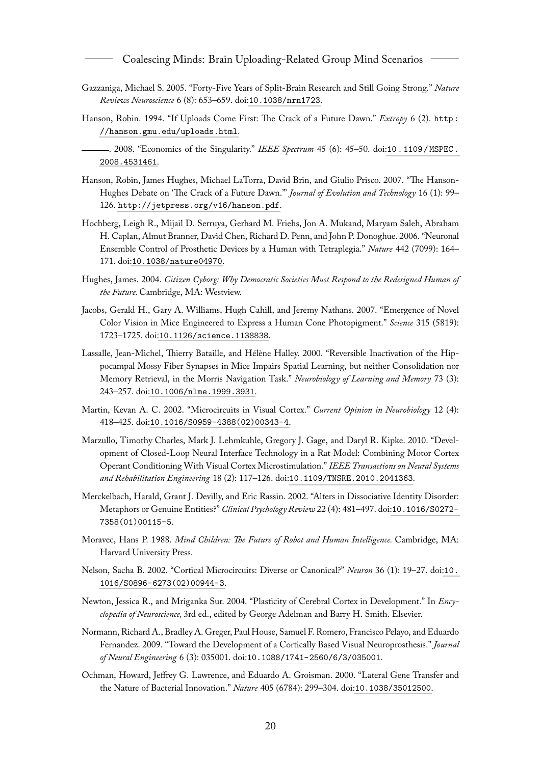Coalescing Minds: Brain Uploading-Related Group Mind Scenarios

- <span id="page-20-4"></span>Gazzaniga, Michael S. 2005. "Forty-Five Years of Split-Brain Research and Still Going Strong." *Nature Reviews Neuroscience* 6 (8): 653–659. doi:[10.1038/nrn1723](http://dx.doi.org/10.1038/nrn1723).
- <span id="page-20-0"></span>Hanson, Robin. 1994. "If Uploads Come First: The Crack of a Future Dawn." *Extropy* 6 (2). [http :](http://hanson.gmu.edu/uploads.html) [//hanson.gmu.edu/uploads.html](http://hanson.gmu.edu/uploads.html).
- <span id="page-20-1"></span>. 2008. "Economics of the Singularity." *IEEE Spectrum* 45 (6): 45–50. doi:[10 . 1109 / MSPEC .](http://dx.doi.org/10.1109/MSPEC.2008.4531461) [2008.4531461](http://dx.doi.org/10.1109/MSPEC.2008.4531461).
- <span id="page-20-13"></span>Hanson, Robin, James Hughes, Michael LaTorra, David Brin, and Giulio Prisco. 2007. "The Hanson-Hughes Debate on 'The Crack of a Future Dawn."' *Journal of Evolution and Technology* 16 (1): 99– 126. <http://jetpress.org/v16/hanson.pdf>.
- <span id="page-20-2"></span>Hochberg, Leigh R., Mijail D. Serruya, Gerhard M. Friehs, Jon A. Mukand, Maryam Saleh, Abraham H. Caplan, Almut Branner, David Chen, Richard D. Penn, and John P. Donoghue. 2006. "Neuronal Ensemble Control of Prosthetic Devices by a Human with Tetraplegia." *Nature* 442 (7099): 164– 171. doi:[10.1038/nature04970](http://dx.doi.org/10.1038/nature04970).
- <span id="page-20-12"></span>Hughes, James. 2004. *Citizen Cyborg: Why Democratic Societies Must Respond to the Redesigned Human of the Future.* Cambridge, MA: Westview.
- <span id="page-20-8"></span>Jacobs, Gerald H., Gary A. Williams, Hugh Cahill, and Jeremy Nathans. 2007. "Emergence of Novel Color Vision in Mice Engineered to Express a Human Cone Photopigment." *Science* 315 (5819): 1723–1725. doi:[10.1126/science.1138838](http://dx.doi.org/10.1126/science.1138838).
- <span id="page-20-11"></span>Lassalle, Jean-Michel, Thierry Bataille, and Hélène Halley. 2000. "Reversible Inactivation of the Hippocampal Mossy Fiber Synapses in Mice Impairs Spatial Learning, but neither Consolidation nor Memory Retrieval, in the Morris Navigation Task." *Neurobiology of Learning and Memory* 73 (3): 243–257. doi:[10.1006/nlme.1999.3931](http://dx.doi.org/10.1006/nlme.1999.3931).
- <span id="page-20-10"></span>Martin, Kevan A. C. 2002. "Microcircuits in Visual Cortex." *Current Opinion in Neurobiology* 12 (4): 418–425. doi:[10.1016/S0959-4388\(02\)00343-4](http://dx.doi.org/10.1016/S0959-4388(02)00343-4).
- <span id="page-20-9"></span>Marzullo, Timothy Charles, Mark J. Lehmkuhle, Gregory J. Gage, and Daryl R. Kipke. 2010. "Development of Closed-Loop Neural Interface Technology in a Rat Model: Combining Motor Cortex Operant Conditioning With Visual Cortex Microstimulation." *IEEE Transactions on Neural Systems and Rehabilitation Engineering* 18 (2): 117–126. doi:[10.1109/TNSRE.2010.2041363](http://dx.doi.org/10.1109/TNSRE.2010.2041363).
- <span id="page-20-14"></span>Merckelbach, Harald, Grant J. Devilly, and Eric Rassin. 2002. "Alters in Dissociative Identity Disorder: Metaphors or Genuine Entities?" *Clinical Psychology Review* 22 (4): 481–497. doi:[10.1016/S0272-](http://dx.doi.org/10.1016/S0272-7358(01)00115-5) [7358\(01\)00115-5](http://dx.doi.org/10.1016/S0272-7358(01)00115-5).
- <span id="page-20-5"></span>Moravec, Hans P. 1988. *Mind Children: The Future of Robot and Human Intelligence.* Cambridge, MA: Harvard University Press.
- <span id="page-20-6"></span>Nelson, Sacha B. 2002. "Cortical Microcircuits: Diverse or Canonical?" *Neuron* 36 (1): 19–27. doi:[10.](http://dx.doi.org/10.1016/S0896-6273(02)00944-3) [1016/S0896-6273\(02\)00944-3](http://dx.doi.org/10.1016/S0896-6273(02)00944-3).
- <span id="page-20-7"></span>Newton, Jessica R., and Mriganka Sur. 2004. "Plasticity of Cerebral Cortex in Development." In *Encyclopedia of Neuroscience,* 3rd ed., edited by George Adelman and Barry H. Smith. Elsevier.
- <span id="page-20-3"></span>Normann, Richard A., Bradley A. Greger, Paul House, Samuel F. Romero, Francisco Pelayo, and Eduardo Fernandez. 2009. "Toward the Development of a Cortically Based Visual Neuroprosthesis." *Journal of Neural Engineering* 6 (3): 035001. doi:[10.1088/1741-2560/6/3/035001](http://dx.doi.org/10.1088/1741-2560/6/3/035001).
- <span id="page-20-15"></span>Ochman, Howard, Jeffrey G. Lawrence, and Eduardo A. Groisman. 2000. "Lateral Gene Transfer and the Nature of Bacterial Innovation." *Nature* 405 (6784): 299–304. doi:[10.1038/35012500](http://dx.doi.org/10.1038/35012500).